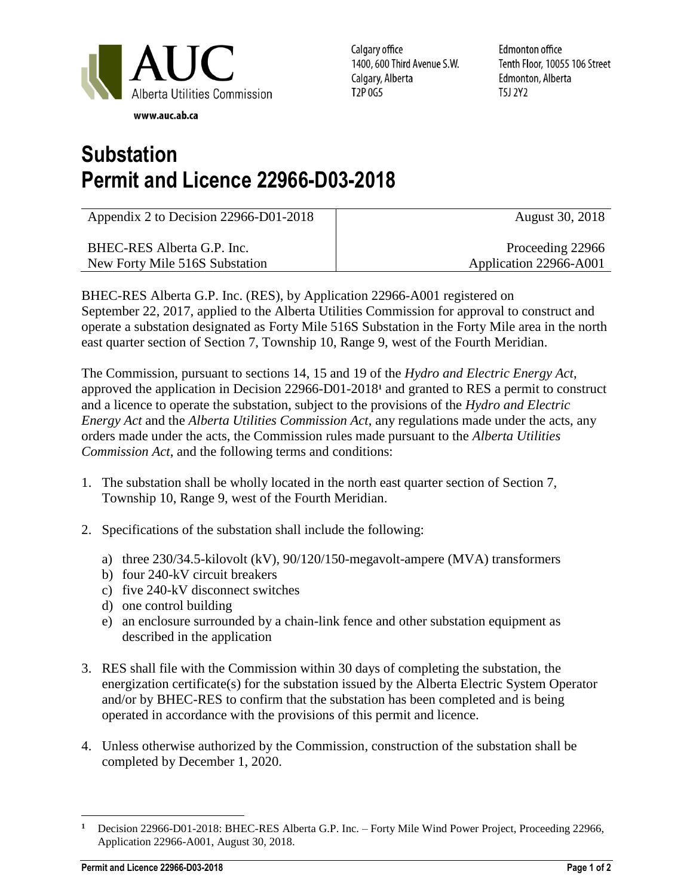

Calgary office 1400, 600 Third Avenue S.W. Calgary, Alberta T2P 0G5

**Edmonton office** Tenth Floor, 10055 106 Street Edmonton, Alberta T5J 2Y2

## **Substation Permit and Licence 22966-D03-2018**

| Appendix 2 to Decision 22966-D01-2018 | August 30, 2018        |
|---------------------------------------|------------------------|
| BHEC-RES Alberta G.P. Inc.            | Proceeding 22966       |
| New Forty Mile 516S Substation        | Application 22966-A001 |

BHEC-RES Alberta G.P. Inc. (RES), by Application 22966-A001 registered on September 22, 2017, applied to the Alberta Utilities Commission for approval to construct and operate a substation designated as Forty Mile 516S Substation in the Forty Mile area in the north east quarter section of Section 7, Township 10, Range 9, west of the Fourth Meridian.

The Commission, pursuant to sections 14, 15 and 19 of the *Hydro and Electric Energy Act*, approved the application in Decision 22966-D01-2018**<sup>1</sup>** and granted to RES a permit to construct and a licence to operate the substation, subject to the provisions of the *Hydro and Electric Energy Act* and the *Alberta Utilities Commission Act*, any regulations made under the acts, any orders made under the acts, the Commission rules made pursuant to the *Alberta Utilities Commission Act*, and the following terms and conditions:

- 1. The substation shall be wholly located in the north east quarter section of Section 7, Township 10, Range 9, west of the Fourth Meridian.
- 2. Specifications of the substation shall include the following:
	- a) three 230/34.5-kilovolt (kV), 90/120/150-megavolt-ampere (MVA) transformers
	- b) four 240-kV circuit breakers
	- c) five 240-kV disconnect switches
	- d) one control building
	- e) an enclosure surrounded by a chain-link fence and other substation equipment as described in the application
- 3. RES shall file with the Commission within 30 days of completing the substation, the energization certificate(s) for the substation issued by the Alberta Electric System Operator and/or by BHEC-RES to confirm that the substation has been completed and is being operated in accordance with the provisions of this permit and licence.
- 4. Unless otherwise authorized by the Commission, construction of the substation shall be completed by December 1, 2020.

 $\overline{a}$ **<sup>1</sup>** Decision 22966-D01-2018: BHEC-RES Alberta G.P. Inc. – Forty Mile Wind Power Project, Proceeding 22966, Application 22966-A001, August 30, 2018.